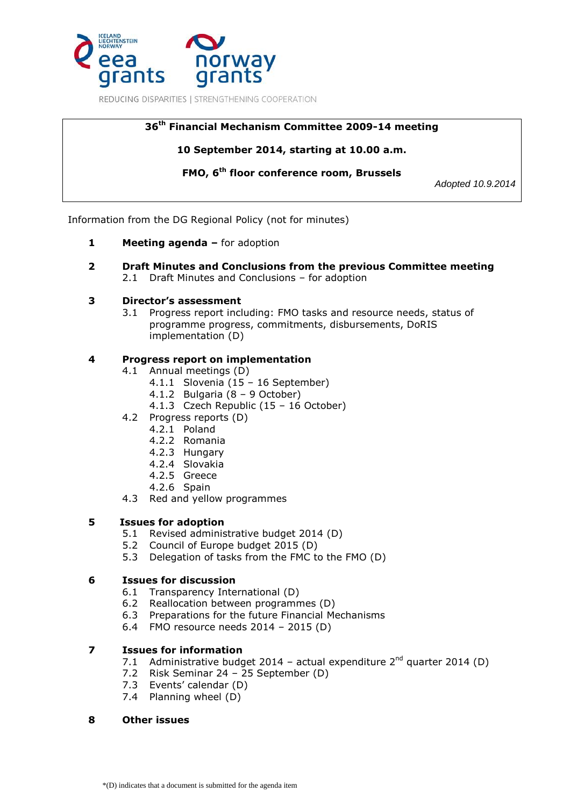

# **36 th Financial Mechanism Committee 2009-14 meeting**

## **10 September 2014, starting at 10.00 a.m.**

**FMO, 6 th floor conference room, Brussels** 

*Adopted 10.9.2014*

Information from the DG Regional Policy (not for minutes)

- **1 Meeting agenda –** for adoption
- **2 Draft Minutes and Conclusions from the previous Committee meeting** 2.1 Draft Minutes and Conclusions – for adoption

## **3 Director's assessment**

3.1 Progress report including: FMO tasks and resource needs, status of programme progress, commitments, disbursements, DoRIS implementation (D)

## **4 Progress report on implementation**

- 4.1 Annual meetings (D)
	- 4.1.1 Slovenia (15 16 September)
	- 4.1.2 Bulgaria (8 9 October)
	- 4.1.3 Czech Republic (15 16 October)
- 4.2 Progress reports (D)
	- 4.2.1 Poland
		- 4.2.2 Romania
		- 4.2.3 Hungary
		- 4.2.4 Slovakia
		- 4.2.5 Greece
		- 4.2.6 Spain
- 4.3 Red and yellow programmes

## **5 Issues for adoption**

- 5.1 Revised administrative budget 2014 (D)
- 5.2 Council of Europe budget 2015 (D)
- 5.3 Delegation of tasks from the FMC to the FMO (D)

## **6 Issues for discussion**

- 6.1 Transparency International (D)
- 6.2 Reallocation between programmes (D)
- 6.3 Preparations for the future Financial Mechanisms
- 6.4 FMO resource needs 2014 2015 (D)

## **7 Issues for information**

- 7.1 Administrative budget 2014 actual expenditure  $2^{nd}$  quarter 2014 (D)
- 7.2 Risk Seminar 24 25 September (D)
- 7.3 Events' calendar (D)
- 7.4 Planning wheel (D)

## **8 Other issues**